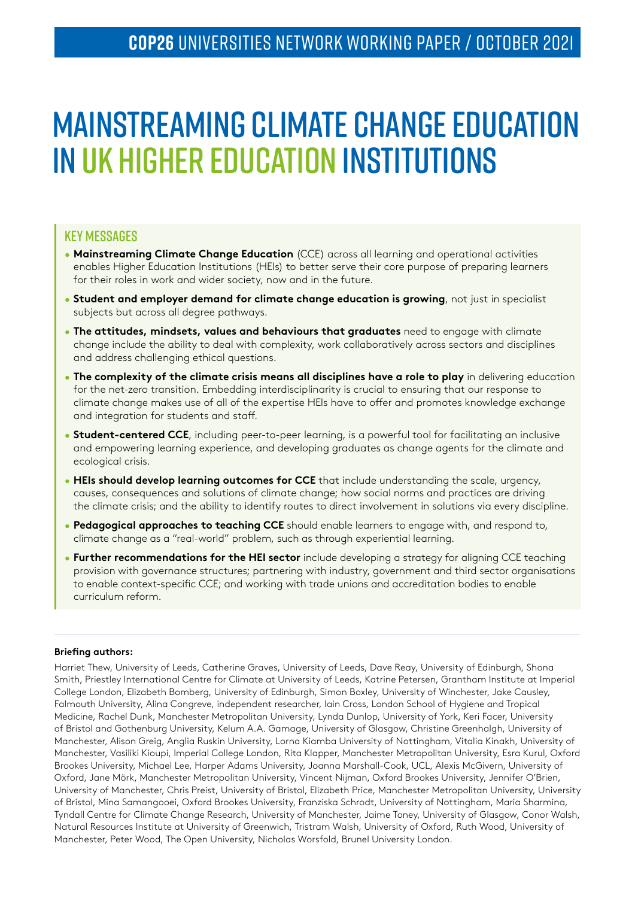# Mainstreaming Climate Change Education in UK Higher Education Institutions

## Key messages

- **Mainstreaming Climate Change Education** (CCE) across all learning and operational activities enables Higher Education Institutions (HEIs) to better serve their core purpose of preparing learners for their roles in work and wider society, now and in the future.
- **Student and employer demand for climate change education is growing**, not just in specialist subjects but across all degree pathways.
- **The attitudes, mindsets, values and behaviours that graduates** need to engage with climate change include the ability to deal with complexity, work collaboratively across sectors and disciplines and address challenging ethical questions.
- **The complexity of the climate crisis means all disciplines have a role to play** in delivering education for the net-zero transition. Embedding interdisciplinarity is crucial to ensuring that our response to climate change makes use of all of the expertise HEIs have to offer and promotes knowledge exchange and integration for students and staff.
- **Student-centered CCE**, including peer-to-peer learning, is a powerful tool for facilitating an inclusive and empowering learning experience, and developing graduates as change agents for the climate and ecological crisis.
- **HEIs should develop learning outcomes for CCE** that include understanding the scale, urgency, causes, consequences and solutions of climate change; how social norms and practices are driving the climate crisis; and the ability to identify routes to direct involvement in solutions via every discipline.
- **Pedagogical approaches to teaching CCE** should enable learners to engage with, and respond to, climate change as a "real-world" problem, such as through experiential learning.
- **Further recommendations for the HEI sector** include developing a strategy for aligning CCE teaching provision with governance structures; partnering with industry, government and third sector organisations to enable context-specific CCE; and working with trade unions and accreditation bodies to enable curriculum reform.

#### **Briefing authors:**

Harriet Thew, University of Leeds, Catherine Graves, University of Leeds, Dave Reay, University of Edinburgh, Shona Smith, Priestley International Centre for Climate at University of Leeds, Katrine Petersen, Grantham Institute at Imperial College London, Elizabeth Bomberg, University of Edinburgh, Simon Boxley, University of Winchester, Jake Causley, Falmouth University, Alina Congreve, independent researcher, Iain Cross, London School of Hygiene and Tropical Medicine, Rachel Dunk, Manchester Metropolitan University, Lynda Dunlop, University of York, Keri Facer, University of Bristol and Gothenburg University, Kelum A.A. Gamage, University of Glasgow, Christine Greenhalgh, University of Manchester, Alison Greig, Anglia Ruskin University, Lorna Kiamba University of Nottingham, Vitalia Kinakh, University of Manchester, Vasiliki Kioupi, Imperial College London, Rita Klapper, Manchester Metropolitan University, Esra Kurul, Oxford Brookes University, Michael Lee, Harper Adams University, Joanna Marshall-Cook, UCL, Alexis McGivern, University of Oxford, Jane Mörk, Manchester Metropolitan University, Vincent Nijman, Oxford Brookes University, Jennifer O'Brien, University of Manchester, Chris Preist, University of Bristol, Elizabeth Price, Manchester Metropolitan University, University of Bristol, Mina Samangooei, Oxford Brookes University, Franziska Schrodt, University of Nottingham, Maria Sharmina, Tyndall Centre for Climate Change Research, University of Manchester, Jaime Toney, University of Glasgow, Conor Walsh, Natural Resources Institute at University of Greenwich, Tristram Walsh, University of Oxford, Ruth Wood, University of Manchester, Peter Wood, The Open University, Nicholas Worsfold, Brunel University London.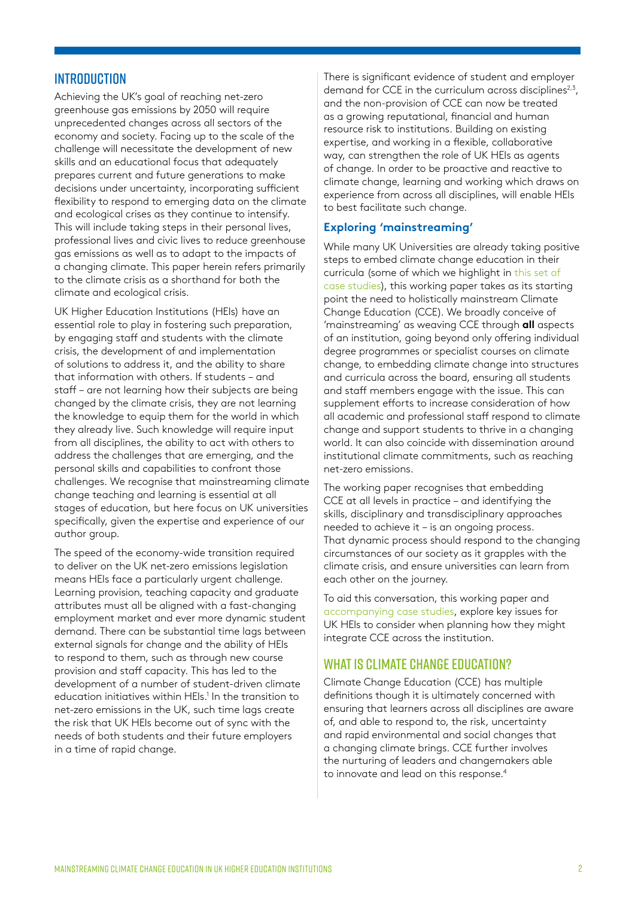## **INTRODUCTION**

Achieving the UK's goal of reaching net-zero greenhouse gas emissions by 2050 will require unprecedented changes across all sectors of the economy and society. Facing up to the scale of the challenge will necessitate the development of new skills and an educational focus that adequately prepares current and future generations to make decisions under uncertainty, incorporating sufficient flexibility to respond to emerging data on the climate and ecological crises as they continue to intensify. This will include taking steps in their personal lives, professional lives and civic lives to reduce greenhouse gas emissions as well as to adapt to the impacts of a changing climate. This paper herein refers primarily to the climate crisis as a shorthand for both the climate and ecological crisis.

UK Higher Education Institutions (HEIs) have an essential role to play in fostering such preparation, by engaging staff and students with the climate crisis, the development of and implementation of solutions to address it, and the ability to share that information with others. If students – and staff – are not learning how their subjects are being changed by the climate crisis, they are not learning the knowledge to equip them for the world in which they already live. Such knowledge will require input from all disciplines, the ability to act with others to address the challenges that are emerging, and the personal skills and capabilities to confront those challenges. We recognise that mainstreaming climate change teaching and learning is essential at all stages of education, but here focus on UK universities specifically, given the expertise and experience of our author group.

The speed of the economy-wide transition required to deliver on the UK net-zero emissions legislation means HEIs face a particularly urgent challenge. Learning provision, teaching capacity and graduate attributes must all be aligned with a fast-changing employment market and ever more dynamic student demand. There can be substantial time lags between external signals for change and the ability of HEIs to respond to them, such as through new course provision and staff capacity. This has led to the development of a number of student-driven climate education initiatives within HEIs.<sup>1</sup> In the transition to net-zero emissions in the UK, such time lags create the risk that UK HEIs become out of sync with the needs of both students and their future employers in a time of rapid change.

There is significant evidence of student and employer demand for CCE in the curriculum across disciplines $2,3$ , and the non-provision of CCE can now be treated as a growing reputational, financial and human resource risk to institutions. Building on existing expertise, and working in a flexible, collaborative way, can strengthen the role of UK HEIs as agents of change. In order to be proactive and reactive to climate change, learning and working which draws on experience from across all disciplines, will enable HEIs to best facilitate such change.

#### **Exploring 'mainstreaming'**

While many UK Universities are already taking positive steps to embed climate change education in their curricula (some of which we highlight in [this set of](https://www.gla.ac.uk/research/cop26/briefings/climate-education-case-studies)  [case studies\)](https://www.gla.ac.uk/research/cop26/briefings/climate-education-case-studies), this working paper takes as its starting point the need to holistically mainstream Climate Change Education (CCE). We broadly conceive of 'mainstreaming' as weaving CCE through **all** aspects of an institution, going beyond only offering individual degree programmes or specialist courses on climate change, to embedding climate change into structures and curricula across the board, ensuring all students and staff members engage with the issue. This can supplement efforts to increase consideration of how all academic and professional staff respond to climate change and support students to thrive in a changing world. It can also coincide with dissemination around institutional climate commitments, such as reaching net-zero emissions.

The working paper recognises that embedding CCE at all levels in practice – and identifying the skills, disciplinary and transdisciplinary approaches needed to achieve it – is an ongoing process. That dynamic process should respond to the changing circumstances of our society as it grapples with the climate crisis, and ensure universities can learn from each other on the journey.

To aid this conversation, this working paper and [accompanying case studies,](https://www.gla.ac.uk/research/cop26/briefings/climate-education-case-studies) explore key issues for UK HEIs to consider when planning how they might integrate CCE across the institution.

### WHAT IS CLIMATE CHANGE EDUCATION?

Climate Change Education (CCE) has multiple definitions though it is ultimately concerned with ensuring that learners across all disciplines are aware of, and able to respond to, the risk, uncertainty and rapid environmental and social changes that a changing climate brings. CCE further involves the nurturing of leaders and changemakers able to innovate and lead on this response.<sup>4</sup>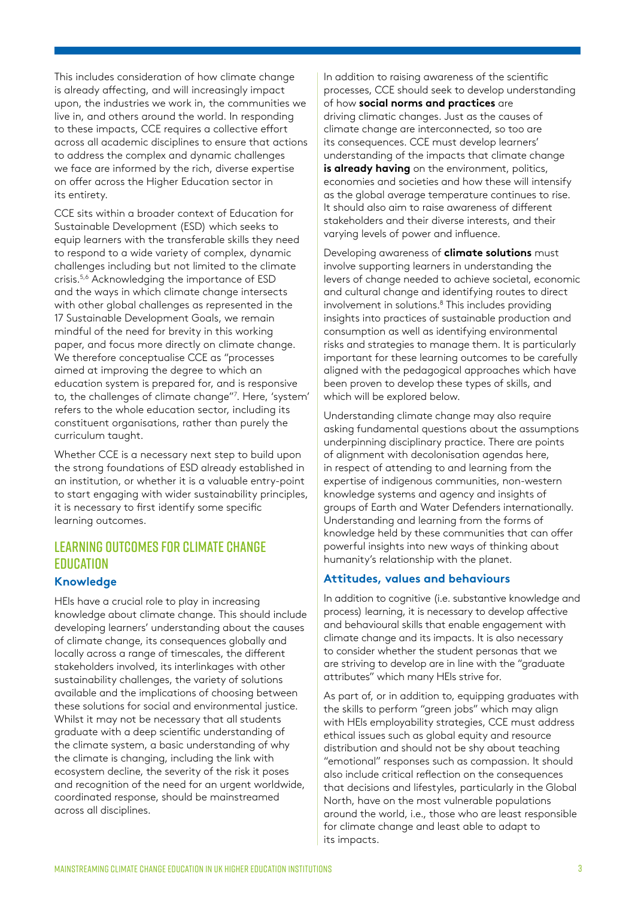This includes consideration of how climate change is already affecting, and will increasingly impact upon, the industries we work in, the communities we live in, and others around the world. In responding to these impacts, CCE requires a collective effort across all academic disciplines to ensure that actions to address the complex and dynamic challenges we face are informed by the rich, diverse expertise on offer across the Higher Education sector in its entirety.

CCE sits within a broader context of Education for Sustainable Development (ESD) which seeks to equip learners with the transferable skills they need to respond to a wide variety of complex, dynamic challenges including but not limited to the climate crisis.5,6 Acknowledging the importance of ESD and the ways in which climate change intersects with other global challenges as represented in the 17 Sustainable Development Goals, we remain mindful of the need for brevity in this working paper, and focus more directly on climate change. We therefore conceptualise CCE as "processes aimed at improving the degree to which an education system is prepared for, and is responsive to, the challenges of climate change"7 . Here, 'system' refers to the whole education sector, including its constituent organisations, rather than purely the curriculum taught.

Whether CCE is a necessary next step to build upon the strong foundations of ESD already established in an institution, or whether it is a valuable entry-point to start engaging with wider sustainability principles, it is necessary to first identify some specific learning outcomes.

# Learning outcomes for climate change **EDUCATION**

#### **Knowledge**

HEIs have a crucial role to play in increasing knowledge about climate change. This should include developing learners' understanding about the causes of climate change, its consequences globally and locally across a range of timescales, the different stakeholders involved, its interlinkages with other sustainability challenges, the variety of solutions available and the implications of choosing between these solutions for social and environmental justice. Whilst it may not be necessary that all students graduate with a deep scientific understanding of the climate system, a basic understanding of why the climate is changing, including the link with ecosystem decline, the severity of the risk it poses and recognition of the need for an urgent worldwide, coordinated response, should be mainstreamed across all disciplines.

In addition to raising awareness of the scientific processes, CCE should seek to develop understanding of how **social norms and practices** are driving climatic changes. Just as the causes of climate change are interconnected, so too are its consequences. CCE must develop learners' understanding of the impacts that climate change **is already having** on the environment, politics, economies and societies and how these will intensify as the global average temperature continues to rise. It should also aim to raise awareness of different stakeholders and their diverse interests, and their varying levels of power and influence.

Developing awareness of **climate solutions** must involve supporting learners in understanding the levers of change needed to achieve societal, economic and cultural change and identifying routes to direct involvement in solutions.<sup>8</sup> This includes providing insights into practices of sustainable production and consumption as well as identifying environmental risks and strategies to manage them. It is particularly important for these learning outcomes to be carefully aligned with the pedagogical approaches which have been proven to develop these types of skills, and which will be explored below.

Understanding climate change may also require asking fundamental questions about the assumptions underpinning disciplinary practice. There are points of alignment with decolonisation agendas here, in respect of attending to and learning from the expertise of indigenous communities, non-western knowledge systems and agency and insights of groups of Earth and Water Defenders internationally. Understanding and learning from the forms of knowledge held by these communities that can offer powerful insights into new ways of thinking about humanity's relationship with the planet.

#### **Attitudes, values and behaviours**

In addition to cognitive (i.e. substantive knowledge and process) learning, it is necessary to develop affective and behavioural skills that enable engagement with climate change and its impacts. It is also necessary to consider whether the student personas that we are striving to develop are in line with the "graduate attributes" which many HEIs strive for.

As part of, or in addition to, equipping graduates with the skills to perform "green jobs" which may align with HEIs employability strategies, CCE must address ethical issues such as global equity and resource distribution and should not be shy about teaching "emotional" responses such as compassion. It should also include critical reflection on the consequences that decisions and lifestyles, particularly in the Global North, have on the most vulnerable populations around the world, i.e., those who are least responsible for climate change and least able to adapt to its impacts.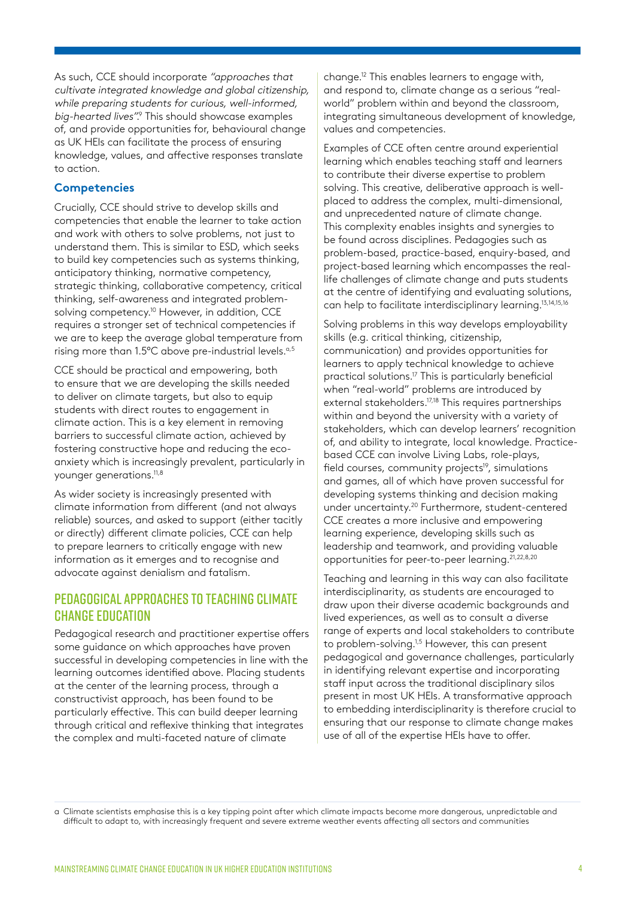As such, CCE should incorporate "approaches that cultivate integrated knowledge and global citizenship, while preparing students for curious, well-informed, big-hearted lives".<sup>9</sup> This should showcase examples of, and provide opportunities for, behavioural change as UK HEIs can facilitate the process of ensuring knowledge, values, and affective responses translate to action.

#### **Competencies**

Crucially, CCE should strive to develop skills and competencies that enable the learner to take action and work with others to solve problems, not just to understand them. This is similar to ESD, which seeks to build key competencies such as systems thinking, anticipatory thinking, normative competency, strategic thinking, collaborative competency, critical thinking, self-awareness and integrated problemsolving competency.<sup>10</sup> However, in addition, CCE requires a stronger set of technical competencies if we are to keep the average global temperature from rising more than 1.5°C above pre-industrial levels.<sup>a,5</sup>

CCE should be practical and empowering, both to ensure that we are developing the skills needed to deliver on climate targets, but also to equip students with direct routes to engagement in climate action. This is a key element in removing barriers to successful climate action, achieved by fostering constructive hope and reducing the ecoanxiety which is increasingly prevalent, particularly in younger generations.11,8

As wider society is increasingly presented with climate information from different (and not always reliable) sources, and asked to support (either tacitly or directly) different climate policies, CCE can help to prepare learners to critically engage with new information as it emerges and to recognise and advocate against denialism and fatalism.

## Pedagogical approaches to teaching Climate Change Education

Pedagogical research and practitioner expertise offers some guidance on which approaches have proven successful in developing competencies in line with the learning outcomes identified above. Placing students at the center of the learning process, through a constructivist approach, has been found to be particularly effective. This can build deeper learning through critical and reflexive thinking that integrates the complex and multi-faceted nature of climate

change.12 This enables learners to engage with, and respond to, climate change as a serious "realworld" problem within and beyond the classroom, integrating simultaneous development of knowledge, values and competencies.

Examples of CCE often centre around experiential learning which enables teaching staff and learners to contribute their diverse expertise to problem solving. This creative, deliberative approach is wellplaced to address the complex, multi-dimensional, and unprecedented nature of climate change. This complexity enables insights and synergies to be found across disciplines. Pedagogies such as problem-based, practice-based, enquiry-based, and project-based learning which encompasses the reallife challenges of climate change and puts students at the centre of identifying and evaluating solutions, can help to facilitate interdisciplinary learning.13,14,15,16

Solving problems in this way develops employability skills (e.g. critical thinking, citizenship, communication) and provides opportunities for learners to apply technical knowledge to achieve practical solutions.17 This is particularly beneficial when "real-world" problems are introduced by external stakeholders.<sup>17,18</sup> This requires partnerships within and beyond the university with a variety of stakeholders, which can develop learners' recognition of, and ability to integrate, local knowledge. Practicebased CCE can involve Living Labs, role-plays, field courses, community projects<sup>19</sup>, simulations and games, all of which have proven successful for developing systems thinking and decision making under uncertainty.20 Furthermore, student-centered CCE creates a more inclusive and empowering learning experience, developing skills such as leadership and teamwork, and providing valuable opportunities for peer-to-peer learning.21,22,8,20

Teaching and learning in this way can also facilitate interdisciplinarity, as students are encouraged to draw upon their diverse academic backgrounds and lived experiences, as well as to consult a diverse range of experts and local stakeholders to contribute to problem-solving.<sup>1,5</sup> However, this can present pedagogical and governance challenges, particularly in identifying relevant expertise and incorporating staff input across the traditional disciplinary silos present in most UK HEIs. A transformative approach to embedding interdisciplinarity is therefore crucial to ensuring that our response to climate change makes use of all of the expertise HEIs have to offer.

a Climate scientists emphasise this is a key tipping point after which climate impacts become more dangerous, unpredictable and difficult to adapt to, with increasingly frequent and severe extreme weather events affecting all sectors and communities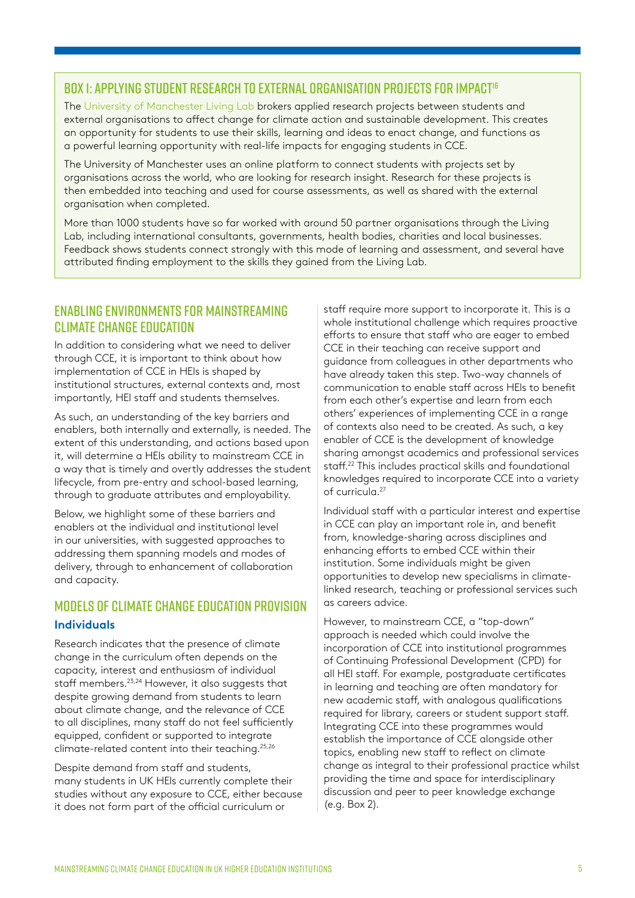# BOX 1: APPLYING STUDENT RESEARCH TO EXTERNAL ORGANISATION PROJECTS FOR IMPACT<sup>16</sup>

The [University of Manchester Living Lab](https://www.gla.ac.uk/media/Media_814636_smxx.pdf) brokers applied research projects between students and external organisations to affect change for climate action and sustainable development. This creates an opportunity for students to use their skills, learning and ideas to enact change, and functions as a powerful learning opportunity with real-life impacts for engaging students in CCE.

The University of Manchester uses an online platform to connect students with projects set by organisations across the world, who are looking for research insight. Research for these projects is then embedded into teaching and used for course assessments, as well as shared with the external organisation when completed.

More than 1000 students have so far worked with around 50 partner organisations through the Living Lab, including international consultants, governments, health bodies, charities and local businesses. Feedback shows students connect strongly with this mode of learning and assessment, and several have attributed finding employment to the skills they gained from the Living Lab.

# Enabling environments for mainstreaming climate change education

In addition to considering what we need to deliver through CCE, it is important to think about how implementation of CCE in HEIs is shaped by institutional structures, external contexts and, most importantly, HEI staff and students themselves.

As such, an understanding of the key barriers and enablers, both internally and externally, is needed. The extent of this understanding, and actions based upon it, will determine a HEIs ability to mainstream CCE in a way that is timely and overtly addresses the student lifecycle, from pre-entry and school-based learning, through to graduate attributes and employability.

Below, we highlight some of these barriers and enablers at the individual and institutional level in our universities, with suggested approaches to addressing them spanning models and modes of delivery, through to enhancement of collaboration and capacity.

# Models of Climate Change Education provision **Individuals**

Research indicates that the presence of climate change in the curriculum often depends on the capacity, interest and enthusiasm of individual staff members.23,24 However, it also suggests that despite growing demand from students to learn about climate change, and the relevance of CCE to all disciplines, many staff do not feel sufficiently equipped, confident or supported to integrate climate-related content into their teaching.25,26

Despite demand from staff and students, many students in UK HEIs currently complete their studies without any exposure to CCE, either because it does not form part of the official curriculum or

staff require more support to incorporate it. This is a whole institutional challenge which requires proactive efforts to ensure that staff who are eager to embed CCE in their teaching can receive support and guidance from colleagues in other departments who have already taken this step. Two-way channels of communication to enable staff across HEIs to benefit from each other's expertise and learn from each others' experiences of implementing CCE in a range of contexts also need to be created. As such, a key enabler of CCE is the development of knowledge sharing amongst academics and professional services staff.22 This includes practical skills and foundational knowledges required to incorporate CCE into a variety of curricula.27

Individual staff with a particular interest and expertise in CCE can play an important role in, and benefit from, knowledge-sharing across disciplines and enhancing efforts to embed CCE within their institution. Some individuals might be given opportunities to develop new specialisms in climatelinked research, teaching or professional services such as careers advice.

However, to mainstream CCE, a "top-down" approach is needed which could involve the incorporation of CCE into institutional programmes of Continuing Professional Development (CPD) for all HEI staff. For example, postgraduate certificates in learning and teaching are often mandatory for new academic staff, with analogous qualifications required for library, careers or student support staff. Integrating CCE into these programmes would establish the importance of CCE alongside other topics, enabling new staff to reflect on climate change as integral to their professional practice whilst providing the time and space for interdisciplinary discussion and peer to peer knowledge exchange (e.g. Box 2).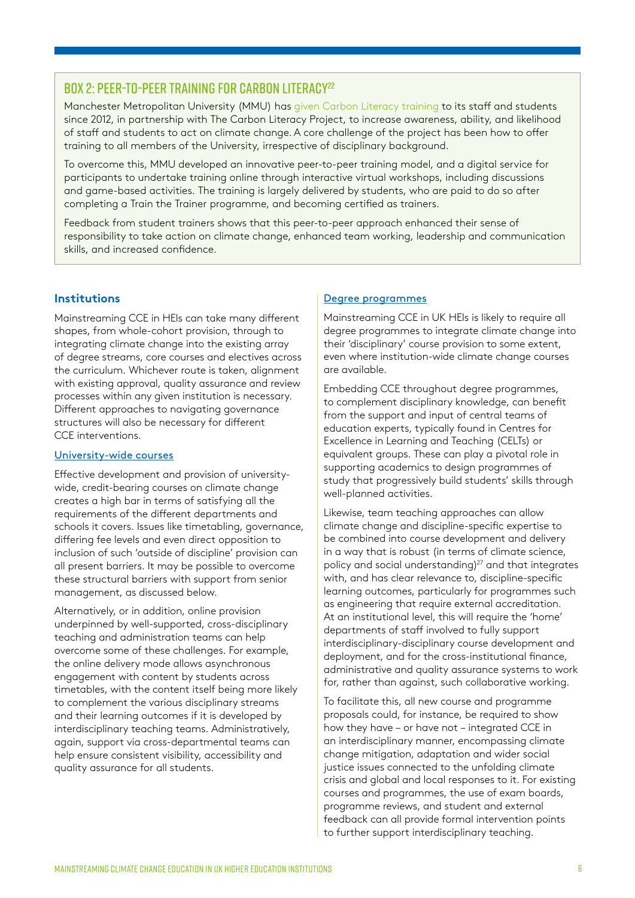# BOX 2: PFFR-TO-PFFR TRAINING FOR CARBON LITERACY<sup>22</sup>

Manchester Metropolitan University (MMU) has [given Carbon Literacy training](https://www.gla.ac.uk/media/Media_814591_smxx.pdf) to its staff and students since 2012, in partnership with The Carbon Literacy Project, to increase awareness, ability, and likelihood of staff and students to act on climate change.A core challenge of the project has been how to offer training to all members of the University, irrespective of disciplinary background.

To overcome this, MMU developed an innovative peer-to-peer training model, and a digital service for participants to undertake training online through interactive virtual workshops, including discussions and game-based activities. The training is largely delivered by students, who are paid to do so after completing a Train the Trainer programme, and becoming certified as trainers.

Feedback from student trainers shows that this peer-to-peer approach enhanced their sense of responsibility to take action on climate change, enhanced team working, leadership and communication skills, and increased confidence.

## **Institutions**

Mainstreaming CCE in HEIs can take many different shapes, from whole-cohort provision, through to integrating climate change into the existing array of degree streams, core courses and electives across the curriculum. Whichever route is taken, alignment with existing approval, quality assurance and review processes within any given institution is necessary. Different approaches to navigating governance structures will also be necessary for different CCE interventions.

#### University-wide courses

Effective development and provision of universitywide, credit-bearing courses on climate change creates a high bar in terms of satisfying all the requirements of the different departments and schools it covers. Issues like timetabling, governance, differing fee levels and even direct opposition to inclusion of such 'outside of discipline' provision can all present barriers. It may be possible to overcome these structural barriers with support from senior management, as discussed below.

Alternatively, or in addition, online provision underpinned by well-supported, cross-disciplinary teaching and administration teams can help overcome some of these challenges. For example, the online delivery mode allows asynchronous engagement with content by students across timetables, with the content itself being more likely to complement the various disciplinary streams and their learning outcomes if it is developed by interdisciplinary teaching teams. Administratively, again, support via cross-departmental teams can help ensure consistent visibility, accessibility and quality assurance for all students.

#### Degree programmes

Mainstreaming CCE in UK HEIs is likely to require all degree programmes to integrate climate change into their 'disciplinary' course provision to some extent, even where institution-wide climate change courses are available.

Embedding CCE throughout degree programmes, to complement disciplinary knowledge, can benefit from the support and input of central teams of education experts, typically found in Centres for Excellence in Learning and Teaching (CELTs) or equivalent groups. These can play a pivotal role in supporting academics to design programmes of study that progressively build students' skills through well-planned activities.

Likewise, team teaching approaches can allow climate change and discipline-specific expertise to be combined into course development and delivery in a way that is robust (in terms of climate science, policy and social understanding)<sup>27</sup> and that integrates with, and has clear relevance to, discipline-specific learning outcomes, particularly for programmes such as engineering that require external accreditation. At an institutional level, this will require the 'home' departments of staff involved to fully support interdisciplinary-disciplinary course development and deployment, and for the cross-institutional finance, administrative and quality assurance systems to work for, rather than against, such collaborative working.

To facilitate this, all new course and programme proposals could, for instance, be required to show how they have – or have not – integrated CCE in an interdisciplinary manner, encompassing climate change mitigation, adaptation and wider social justice issues connected to the unfolding climate crisis and global and local responses to it. For existing courses and programmes, the use of exam boards, programme reviews, and student and external feedback can all provide formal intervention points to further support interdisciplinary teaching.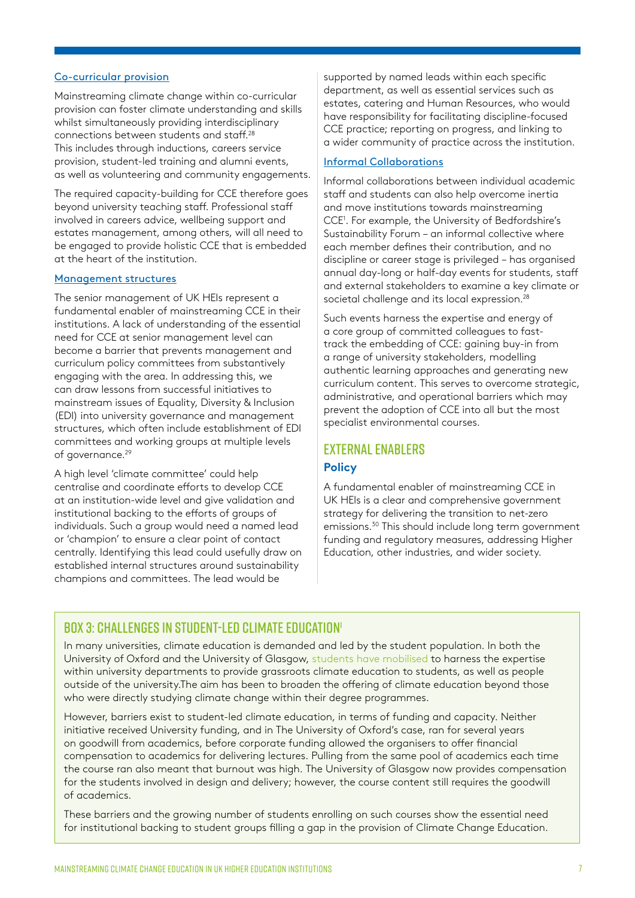#### Co-curricular provision

Mainstreaming climate change within co-curricular provision can foster climate understanding and skills whilst simultaneously providing interdisciplinary connections between students and staff.28 This includes through inductions, careers service provision, student-led training and alumni events, as well as volunteering and community engagements.

The required capacity-building for CCE therefore goes beyond university teaching staff. Professional staff involved in careers advice, wellbeing support and estates management, among others, will all need to be engaged to provide holistic CCE that is embedded at the heart of the institution.

#### Management structures

The senior management of UK HEIs represent a fundamental enabler of mainstreaming CCE in their institutions. A lack of understanding of the essential need for CCE at senior management level can become a barrier that prevents management and curriculum policy committees from substantively engaging with the area. In addressing this, we can draw lessons from successful initiatives to mainstream issues of Equality, Diversity & Inclusion (EDI) into university governance and management structures, which often include establishment of EDI committees and working groups at multiple levels of governance.<sup>29</sup>

A high level 'climate committee' could help centralise and coordinate efforts to develop CCE at an institution-wide level and give validation and institutional backing to the efforts of groups of individuals. Such a group would need a named lead or 'champion' to ensure a clear point of contact centrally. Identifying this lead could usefully draw on established internal structures around sustainability champions and committees. The lead would be

supported by named leads within each specific department, as well as essential services such as estates, catering and Human Resources, who would have responsibility for facilitating discipline-focused CCE practice; reporting on progress, and linking to a wider community of practice across the institution.

#### Informal Collaborations

Informal collaborations between individual academic staff and students can also help overcome inertia and move institutions towards mainstreaming CCE1 . For example, the University of Bedfordshire's Sustainability Forum – an informal collective where each member defines their contribution, and no discipline or career stage is privileged – has organised annual day-long or half-day events for students, staff and external stakeholders to examine a key climate or societal challenge and its local expression.<sup>28</sup>

Such events harness the expertise and energy of a core group of committed colleagues to fasttrack the embedding of CCE: gaining buy-in from a range of university stakeholders, modelling authentic learning approaches and generating new curriculum content. This serves to overcome strategic, administrative, and operational barriers which may prevent the adoption of CCE into all but the most specialist environmental courses.

# External Enablers **Policy**

A fundamental enabler of mainstreaming CCE in UK HEIs is a clear and comprehensive government strategy for delivering the transition to net-zero emissions.30 This should include long term government funding and regulatory measures, addressing Higher Education, other industries, and wider society.

# BOX 3: CHALLENGES IN STUDENT-LED CLIMATE EDUCATION<sup>1</sup>

In many universities, climate education is demanded and led by the student population. In both the University of Oxford and the University of Glasgow, [students have mobilised](https://www.gla.ac.uk/media/Media_814598_smxx.pdf) to harness the expertise within university departments to provide grassroots climate education to students, as well as people outside of the university.The aim has been to broaden the offering of climate education beyond those who were directly studying climate change within their degree programmes.

However, barriers exist to student-led climate education, in terms of funding and capacity. Neither initiative received University funding, and in The University of Oxford's case, ran for several years on goodwill from academics, before corporate funding allowed the organisers to offer financial compensation to academics for delivering lectures. Pulling from the same pool of academics each time the course ran also meant that burnout was high. The University of Glasgow now provides compensation for the students involved in design and delivery; however, the course content still requires the goodwill of academics.

These barriers and the growing number of students enrolling on such courses show the essential need for institutional backing to student groups filling a gap in the provision of Climate Change Education.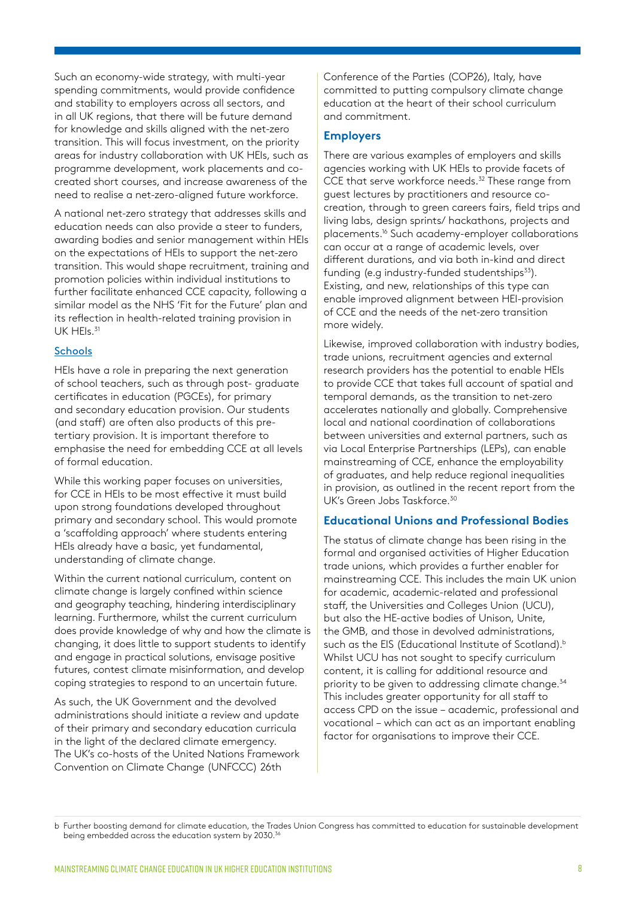Such an economy-wide strategy, with multi-year spending commitments, would provide confidence and stability to employers across all sectors, and in all UK regions, that there will be future demand for knowledge and skills aligned with the net-zero transition. This will focus investment, on the priority areas for industry collaboration with UK HEIs, such as programme development, work placements and cocreated short courses, and increase awareness of the need to realise a net-zero-aligned future workforce.

A national net-zero strategy that addresses skills and education needs can also provide a steer to funders, awarding bodies and senior management within HEIs on the expectations of HEIs to support the net-zero transition. This would shape recruitment, training and promotion policies within individual institutions to further facilitate enhanced CCE capacity, following a similar model as the NHS 'Fit for the Future' plan and its reflection in health-related training provision in UK HEIs.<sup>31</sup>

#### **Schools**

HEIs have a role in preparing the next generation of school teachers, such as through post- graduate certificates in education (PGCEs), for primary and secondary education provision. Our students (and staff) are often also products of this pretertiary provision. It is important therefore to emphasise the need for embedding CCE at all levels of formal education.

While this working paper focuses on universities, for CCE in HEIs to be most effective it must build upon strong foundations developed throughout primary and secondary school. This would promote a 'scaffolding approach' where students entering HEIs already have a basic, yet fundamental, understanding of climate change.

Within the current national curriculum, content on climate change is largely confined within science and geography teaching, hindering interdisciplinary learning. Furthermore, whilst the current curriculum does provide knowledge of why and how the climate is changing, it does little to support students to identify and engage in practical solutions, envisage positive futures, contest climate misinformation, and develop coping strategies to respond to an uncertain future.

As such, the UK Government and the devolved administrations should initiate a review and update of their primary and secondary education curricula in the light of the declared climate emergency. The UK's co-hosts of the United Nations Framework Convention on Climate Change (UNFCCC) 26th

Conference of the Parties (COP26), Italy, have committed to putting compulsory climate change education at the heart of their school curriculum and commitment.

#### **Employers**

There are various examples of employers and skills agencies working with UK HEIs to provide facets of CCE that serve workforce needs.<sup>32</sup> These range from guest lectures by practitioners and resource cocreation, through to green careers fairs, field trips and living labs, design sprints/ hackathons, projects and placements.16 Such academy-employer collaborations can occur at a range of academic levels, over different durations, and via both in-kind and direct funding (e.g industry-funded studentships $33$ ). Existing, and new, relationships of this type can enable improved alignment between HEI-provision of CCE and the needs of the net-zero transition more widely.

Likewise, improved collaboration with industry bodies, trade unions, recruitment agencies and external research providers has the potential to enable HEIs to provide CCE that takes full account of spatial and temporal demands, as the transition to net-zero accelerates nationally and globally. Comprehensive local and national coordination of collaborations between universities and external partners, such as via Local Enterprise Partnerships (LEPs), can enable mainstreaming of CCE, enhance the employability of graduates, and help reduce regional inequalities in provision, as outlined in the recent report from the UK's Green, Jobs Taskforce<sup>30</sup>

#### **Educational Unions and Professional Bodies**

The status of climate change has been rising in the formal and organised activities of Higher Education trade unions, which provides a further enabler for mainstreaming CCE. This includes the main UK union for academic, academic-related and professional staff, the Universities and Colleges Union (UCU), but also the HE-active bodies of Unison, Unite, the GMB, and those in devolved administrations, such as the EIS (Educational Institute of Scotland).<sup>b</sup> Whilst UCU has not sought to specify curriculum content, it is calling for additional resource and priority to be given to addressing climate change.<sup>34</sup> This includes greater opportunity for all staff to access CPD on the issue – academic, professional and vocational – which can act as an important enabling factor for organisations to improve their CCE.

b Further boosting demand for climate education, the Trades Union Congress has committed to education for sustainable development being embedded across the education system by 2030.<sup>36</sup>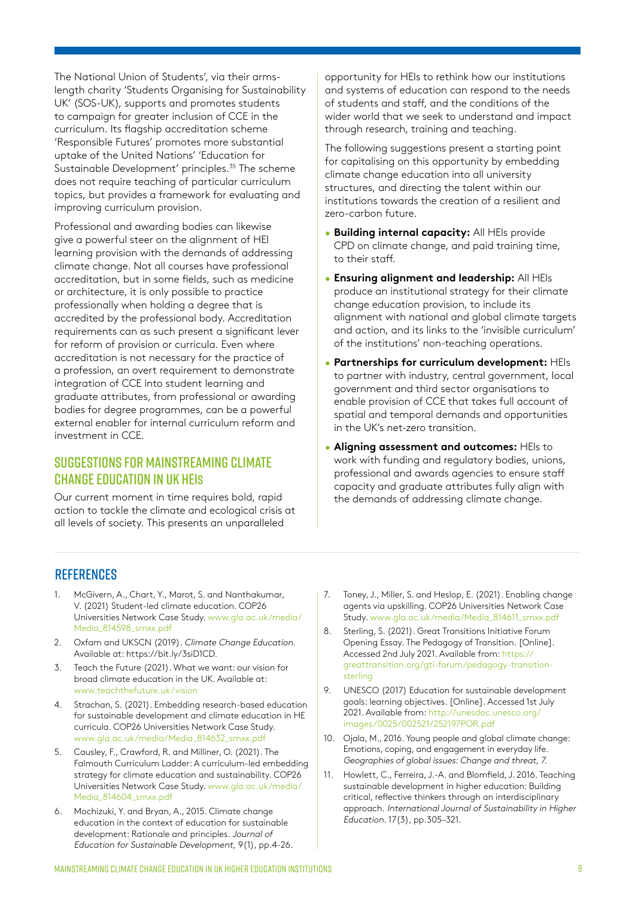The National Union of Students', via their armslength charity 'Students Organising for Sustainability UK' (SOS-UK), supports and promotes students to campaign for greater inclusion of CCE in the curriculum. Its flagship accreditation scheme 'Responsible Futures' promotes more substantial uptake of the United Nations' 'Education for Sustainable Development' principles.<sup>35</sup> The scheme does not require teaching of particular curriculum topics, but provides a framework for evaluating and improving curriculum provision.

Professional and awarding bodies can likewise give a powerful steer on the alignment of HEI learning provision with the demands of addressing climate change. Not all courses have professional accreditation, but in some fields, such as medicine or architecture, it is only possible to practice professionally when holding a degree that is accredited by the professional body. Accreditation requirements can as such present a significant lever for reform of provision or curricula. Even where accreditation is not necessary for the practice of a profession, an overt requirement to demonstrate integration of CCE into student learning and graduate attributes, from professional or awarding bodies for degree programmes, can be a powerful external enabler for internal curriculum reform and investment in CCE.

# SUGGESTIONS FOR MAINSTREAMING CLIMATE Change Education in UK HEIs

Our current moment in time requires bold, rapid action to tackle the climate and ecological crisis at all levels of society. This presents an unparalleled

opportunity for HEIs to rethink how our institutions and systems of education can respond to the needs of students and staff, and the conditions of the wider world that we seek to understand and impact through research, training and teaching.

The following suggestions present a starting point for capitalising on this opportunity by embedding climate change education into all university structures, and directing the talent within our institutions towards the creation of a resilient and zero-carbon future.

- **Building internal capacity:** All HEIs provide CPD on climate change, and paid training time, to their staff.
- **Ensuring alignment and leadership:** All HEIs produce an institutional strategy for their climate change education provision, to include its alignment with national and global climate targets and action, and its links to the 'invisible curriculum' of the institutions' non-teaching operations.
- **Partnerships for curriculum development:** HEIs to partner with industry, central government, local government and third sector organisations to enable provision of CCE that takes full account of spatial and temporal demands and opportunities in the UK's net-zero transition.
- **Aligning assessment and outcomes:** HEIs to work with funding and regulatory bodies, unions, professional and awards agencies to ensure staff capacity and graduate attributes fully align with the demands of addressing climate change.

## **REFERENCES**

- 1. McGivern, A., Chart, Y., Marot, S. and Nanthakumar, V. (2021) Student-led climate education. COP26 Universities Network Case Study. [www.gla.ac.uk/media/](http://www.gla.ac.uk/media/Media_814598_smxx.pdf) [Media\\_814598\\_smxx.pdf](http://www.gla.ac.uk/media/Media_814598_smxx.pdf)
- 2. Oxfam and UKSCN (2019). Climate Change Education. Available at: https://bit.ly/3siD1CD.
- 3. Teach the Future (2021). What we want: our vision for broad climate education in the UK. Available at: [www.teachthefuture.uk/vision](http://www.teachthefuture.uk/vision)
- 4. Strachan, S. (2021). Embedding research-based education for sustainable development and climate education in HE curricula. COP26 Universities Network Case Study. [www.gla.ac.uk/media/Media\\_814632\\_smxx.pdf](http://www.gla.ac.uk/media/Media_814632_smxx.pdf)
- 5. Causley, F., Crawford, R. and Milliner, O. (2021). The Falmouth Curriculum Ladder: A curriculum-led embedding strategy for climate education and sustainability. COP26 Universities Network Case Study. [www.gla.ac.uk/media/](http://www.gla.ac.uk/media/Media_814604_smxx.pdf) [Media\\_814604\\_smxx.pdf](http://www.gla.ac.uk/media/Media_814604_smxx.pdf)
- 6. Mochizuki, Y. and Bryan, A., 2015. Climate change education in the context of education for sustainable development: Rationale and principles. Journal of Education for Sustainable Development, 9(1), pp.4-26.
- 7. Toney, J., Miller, S. and Heslop, E. (2021). Enabling change agents via upskilling. COP26 Universities Network Case Study. [www.gla.ac.uk/media/Media\\_814611\\_smxx.pdf](http://www.gla.ac.uk/media/Media_814611_smxx.pdf)
- 8. Sterling, S. (2021). Great Transitions Initiative Forum Opening Essay. The Pedagogy of Transition. [Online]. Accessed 2nd July 2021. Available from: [https://](https://greattransition.org/gti-forum/pedagogy-transition-sterling) [greattransition.org/gti-forum/pedagogy-transition](https://greattransition.org/gti-forum/pedagogy-transition-sterling)[sterling](https://greattransition.org/gti-forum/pedagogy-transition-sterling)
- 9. UNESCO (2017) Education for sustainable development goals: learning objectives. [Online]. Accessed 1st July 2021. Available from: [http://unesdoc.unesco.org/](http://unesdoc.unesco.org/images/0025/002521/252197POR.pdf) [images/0025/002521/252197POR.pdf](http://unesdoc.unesco.org/images/0025/002521/252197POR.pdf)
- 10. Ojala, M., 2016. Young people and global climate change: Emotions, coping, and engagement in everyday life. Geographies of global issues: Change and threat, 7.
- 11. Howlett, C., Ferreira, J.-A. and Blomfield, J. 2016. Teaching sustainable development in higher education: Building critical, reflective thinkers through an interdisciplinary approach. International Journal of Sustainability in Higher Education. 17(3), pp.305–321.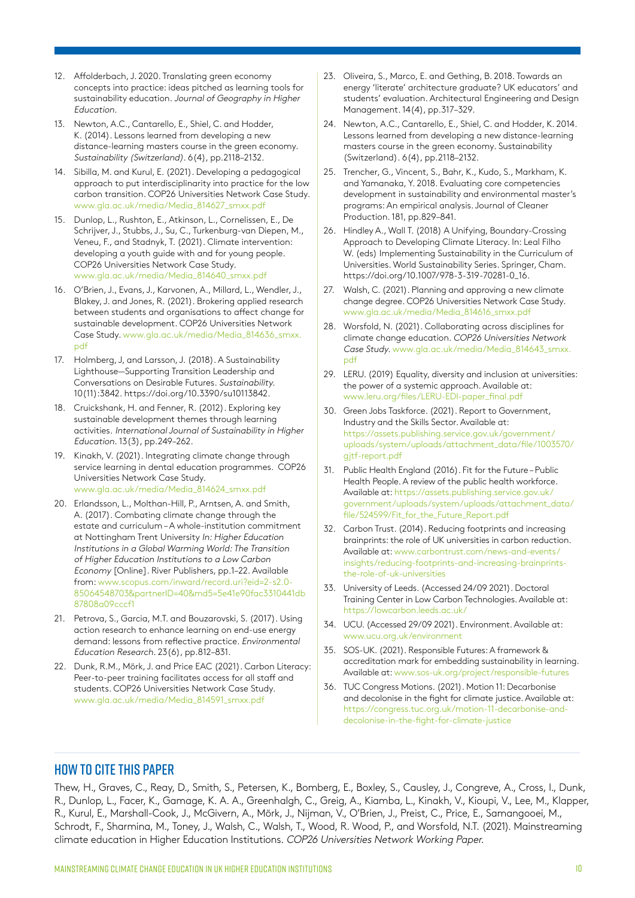- 12. Affolderbach, J. 2020. Translating green economy concepts into practice: ideas pitched as learning tools for sustainability education. Journal of Geography in Higher Education.
- 13. Newton, A.C., Cantarello, E., Shiel, C. and Hodder, K. (2014). Lessons learned from developing a new distance-learning masters course in the green economy. Sustainability (Switzerland). 6(4), pp.2118–2132.
- 14. Sibilla, M. and Kurul, E. (2021). Developing a pedagogical approach to put interdisciplinarity into practice for the low carbon transition. COP26 Universities Network Case Study. [www.gla.ac.uk/media/Media\\_814627\\_smxx.pdf](http://www.gla.ac.uk/media/Media_814627_smxx.pdf)
- 15. Dunlop, L., Rushton, E., Atkinson, L., Cornelissen, E., De Schrijver, J., Stubbs, J., Su, C., Turkenburg-van Diepen, M., Veneu, F., and Stadnyk, T. (2021). Climate intervention: developing a youth guide with and for young people. COP26 Universities Network Case Study. [www.gla.ac.uk/media/Media\\_814640\\_smxx.pdf](http://www.gla.ac.uk/media/Media_814640_smxx.pdf)
- 16. O'Brien, J., Evans, J., Karvonen, A., Millard, L., Wendler, J., Blakey, J. and Jones, R. (2021). Brokering applied research between students and organisations to affect change for sustainable development. COP26 Universities Network Case Study. [www.gla.ac.uk/media/Media\\_814636\\_smxx.](http://www.gla.ac.uk/media/Media_814636_smxx.pdf) [pdf](http://www.gla.ac.uk/media/Media_814636_smxx.pdf)
- 17. Holmberg, J, and Larsson, J. (2018). A Sustainability Lighthouse—Supporting Transition Leadership and Conversations on Desirable Futures. Sustainability. 10(11):3842. https://doi.org/10.3390/su10113842.
- 18. Cruickshank, H. and Fenner, R. (2012). Exploring key sustainable development themes through learning activities. International Journal of Sustainability in Higher Education. 13(3), pp.249–262.
- 19. Kinakh, V. (2021). Integrating climate change through service learning in dental education programmes. COP26 Universities Network Case Study. [www.gla.ac.uk/media/Media\\_814624\\_smxx.pdf](http://www.gla.ac.uk/media/Media_814624_smxx.pdf)
- 20. Erlandsson, L., Molthan-Hill, P., Arntsen, A. and Smith, A. (2017). Combating climate change through the estate and curriculum – A whole-institution commitment at Nottingham Trent University In: Higher Education Institutions in a Global Warming World: The Transition of Higher Education Institutions to a Low Carbon Economy [Online]. River Publishers, pp.1–22. Available from: [www.scopus.com/inward/record.uri?eid=2-s2.0-](http://www.scopus.com/inward/record.uri?eid=2-s2.0-85064548703&partnerID=40&md5=5e41e90fac3310441db87808a09) [85064548703&partnerID=40&md5=5e41e90fac3310441db](http://www.scopus.com/inward/record.uri?eid=2-s2.0-85064548703&partnerID=40&md5=5e41e90fac3310441db87808a09) [87808a09cccf1](http://www.scopus.com/inward/record.uri?eid=2-s2.0-85064548703&partnerID=40&md5=5e41e90fac3310441db87808a09)
- 21. Petrova, S., Garcia, M.T. and Bouzarovski, S. (2017). Using action research to enhance learning on end-use energy demand: lessons from reflective practice. Environmental Education Research. 23(6), pp.812–831.
- 22. Dunk, R.M., Mörk, J. and Price EAC (2021). Carbon Literacy: Peer-to-peer training facilitates access for all staff and students. COP26 Universities Network Case Study. [www.gla.ac.uk/media/Media\\_814591\\_smxx.pdf](http://www.gla.ac.uk/media/Media_814591_smxx.pdf)
- 23. Oliveira, S., Marco, E. and Gething, B. 2018. Towards an energy 'literate' architecture graduate? UK educators' and students' evaluation. Architectural Engineering and Design Management. 14(4), pp.317–329.
- 24. Newton, A.C., Cantarello, E., Shiel, C. and Hodder, K. 2014. Lessons learned from developing a new distance-learning masters course in the green economy. Sustainability (Switzerland). 6(4), pp.2118–2132.
- 25. Trencher, G., Vincent, S., Bahr, K., Kudo, S., Markham, K. and Yamanaka, Y. 2018. Evaluating core competencies development in sustainability and environmental master's programs: An empirical analysis. Journal of Cleaner Production. 181, pp.829–841.
- 26. Hindley A., Wall T. (2018) A Unifying, Boundary-Crossing Approach to Developing Climate Literacy. In: Leal Filho W. (eds) Implementing Sustainability in the Curriculum of Universities. World Sustainability Series. Springer, Cham. https://doi.org/10.1007/978-3-319-70281-0\_16.
- 27. Walsh, C. (2021). Planning and approving a new climate change degree. COP26 Universities Network Case Study. [www.gla.ac.uk/media/Media\\_814616\\_smxx.pdf](http://www.gla.ac.uk/media/Media_814616_smxx.pdf)
- 28. Worsfold, N. (2021). Collaborating across disciplines for climate change education. COP26 Universities Network Case Study. [www.gla.ac.uk/media/Media\\_814643\\_smxx.](http://www.gla.ac.uk/media/Media_814643_smxx.pdf) [pdf](http://www.gla.ac.uk/media/Media_814643_smxx.pdf)
- 29. LERU. (2019) Equality, diversity and inclusion at universities: the power of a systemic approach. Available at: [www.leru.org/files/LERU-EDI-paper\\_final.pdf](http://www.leru.org/files/LERU-EDI-paper_final.pdf)
- 30. Green Jobs Taskforce. (2021). Report to Government, Industry and the Skills Sector. Available at: [https://assets.publishing.service.gov.uk/government/](https://assets.publishing.service.gov.uk/government/uploads/system/uploads/attachment_data/file/1003) [uploads/system/uploads/attachment\\_data/file/1003570/](https://assets.publishing.service.gov.uk/government/uploads/system/uploads/attachment_data/file/1003) [gjtf-report.pdf](https://assets.publishing.service.gov.uk/government/uploads/system/uploads/attachment_data/file/1003)
- 31. Public Health England (2016). Fit for the Future Public Health People. A review of the public health workforce. Available at: [https://assets.publishing.service.gov.uk/](https://assets.publishing.service.gov.uk/government/uploads/system/uploads/attachment_data/file/5245) [government/uploads/system/uploads/attachment\\_data/](https://assets.publishing.service.gov.uk/government/uploads/system/uploads/attachment_data/file/5245) [file/524599/Fit\\_for\\_the\\_Future\\_Report.pdf](https://assets.publishing.service.gov.uk/government/uploads/system/uploads/attachment_data/file/5245)
- 32. Carbon Trust. (2014). Reducing footprints and increasing brainprints: the role of UK universities in carbon reduction. Available at: [www.carbontrust.com/news-and-events/](http://www.carbontrust.com/news-and-events/insights/reducing-footprints-and-increasing-brainprints-the-role) [insights/reducing-footprints-and-increasing-brainprints](http://www.carbontrust.com/news-and-events/insights/reducing-footprints-and-increasing-brainprints-the-role)[the-role-of-uk-universities](http://www.carbontrust.com/news-and-events/insights/reducing-footprints-and-increasing-brainprints-the-role)
- 33. University of Leeds. (Accessed 24/09 2021). Doctoral Training Center in Low Carbon Technologies. Available at: <https://lowcarbon.leeds.ac.uk/>
- 34. UCU. (Accessed 29/09 2021). Environment. Available at: [www.ucu.org.uk/environment](http://www.ucu.org.uk/environment)
- 35. SOS-UK. (2021). Responsible Futures: A framework & accreditation mark for embedding sustainability in learning. Available at: [www.sos-uk.org/project/responsible-futures](http://www.sos-uk.org/project/responsible-futures)
- 36. TUC Congress Motions. (2021). Motion 11: Decarbonise and decolonise in the fight for climate justice. Available at: [https://congress.tuc.org.uk/motion-11-decarbonise-and](https://congress.tuc.org.uk/motion-11-decarbonise-and-decolonise-in-the-fight-for-climate-justice)[decolonise-in-the-fight-for-climate-justice](https://congress.tuc.org.uk/motion-11-decarbonise-and-decolonise-in-the-fight-for-climate-justice)

## how to cite this paper

Thew, H., Graves, C., Reay, D., Smith, S., Petersen, K., Bomberg, E., Boxley, S., Causley, J., Congreve, A., Cross, I., Dunk, R., Dunlop, L., Facer, K., Gamage, K. A. A., Greenhalgh, C., Greig, A., Kiamba, L., Kinakh, V., Kioupi, V., Lee, M., Klapper, R., Kurul, E., Marshall-Cook, J., McGivern, A., Mörk, J., Nijman, V., O'Brien, J., Preist, C., Price, E., Samangooei, M., Schrodt, F., Sharmina, M., Toney, J., Walsh, C., Walsh, T., Wood, R. Wood, P., and Worsfold, N.T. (2021). Mainstreaming climate education in Higher Education Institutions. COP26 Universities Network Working Paper.